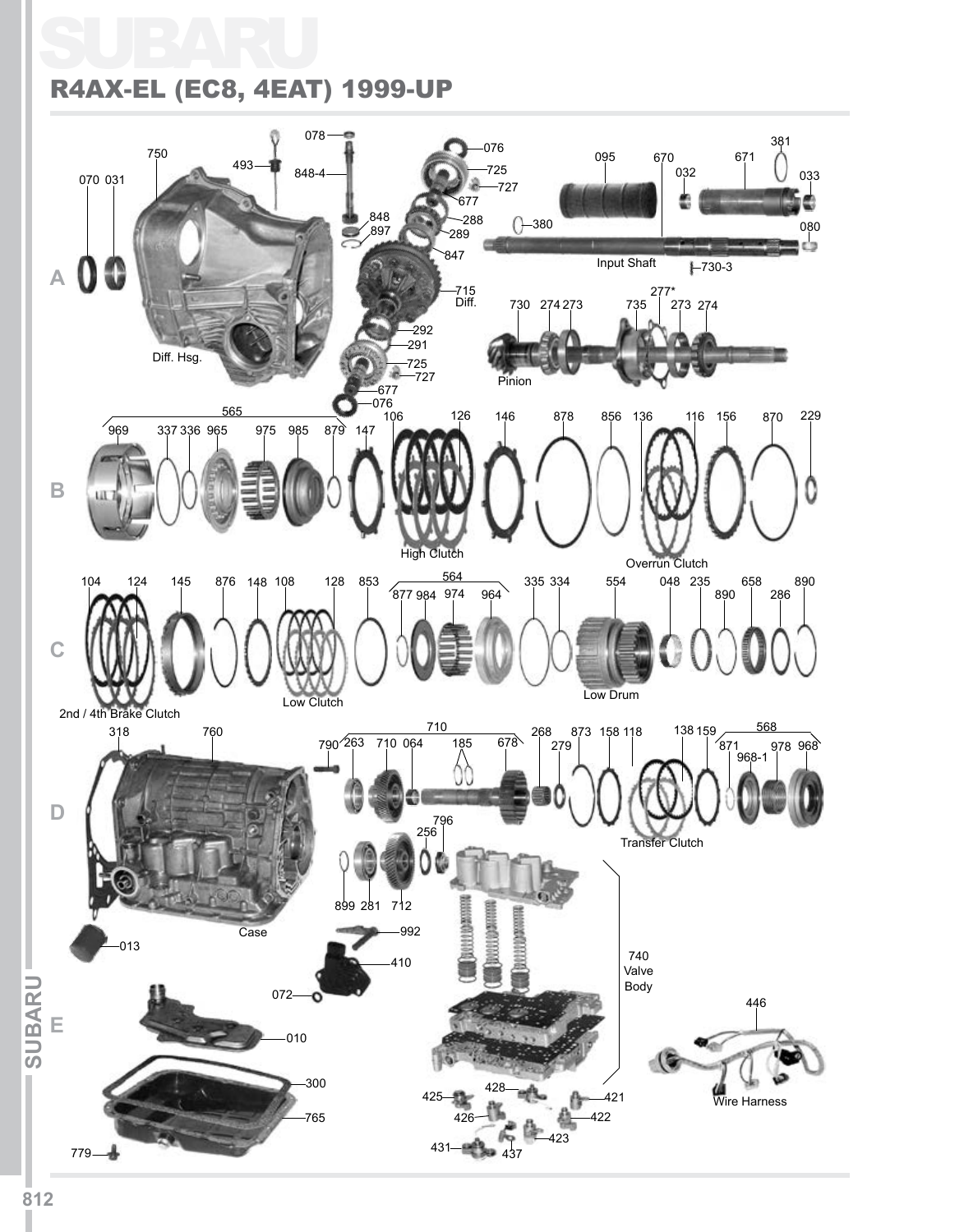# SUBARU R4AX-EL (EC8, 4EAT) 1999-UP

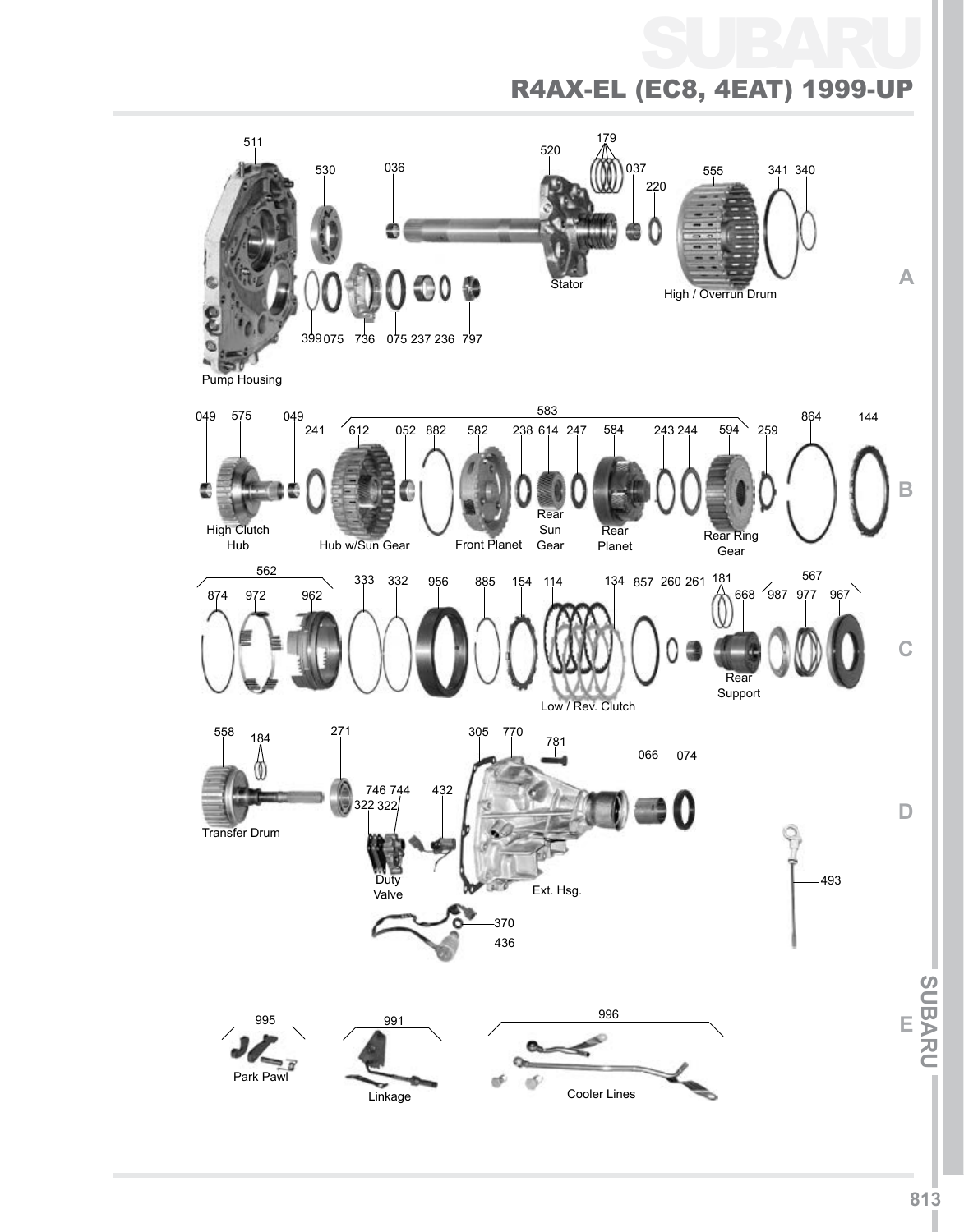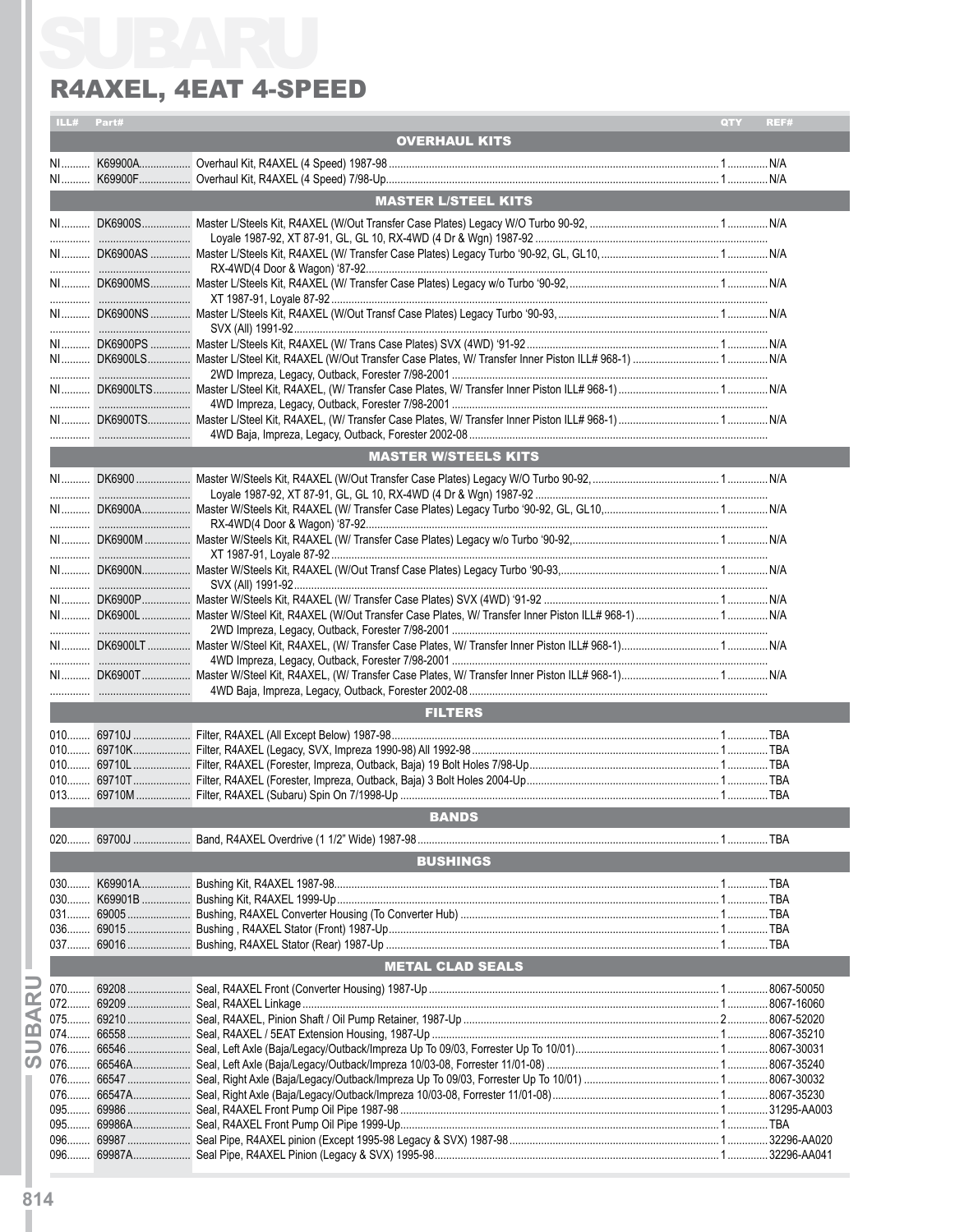| ILL# | Part# |                             | QTY | REF# |
|------|-------|-----------------------------|-----|------|
|      |       | <b>OVERHAUL KITS</b>        |     |      |
|      |       |                             |     |      |
|      |       |                             |     |      |
|      |       | <b>MASTER L/STEEL KITS</b>  |     |      |
|      |       |                             |     |      |
|      |       |                             |     |      |
|      |       |                             |     |      |
|      |       |                             |     |      |
|      |       |                             |     |      |
|      |       |                             |     |      |
|      |       |                             |     |      |
|      |       |                             |     |      |
|      |       |                             |     |      |
|      |       |                             |     |      |
|      |       |                             |     |      |
|      |       |                             |     |      |
|      |       |                             |     |      |
|      |       |                             |     |      |
|      |       | <b>MASTER W/STEELS KITS</b> |     |      |
|      |       |                             |     |      |
|      |       |                             |     |      |
|      |       |                             |     |      |
|      |       |                             |     |      |
|      |       |                             |     |      |
|      |       |                             |     |      |
|      |       |                             |     |      |
|      |       |                             |     |      |
|      |       |                             |     |      |
|      |       |                             |     |      |
|      |       |                             |     |      |
|      |       |                             |     |      |
|      |       |                             |     |      |
|      |       |                             |     |      |
|      |       | <b>FILTERS</b>              |     |      |
|      |       |                             |     |      |
|      |       |                             |     |      |
|      |       |                             |     |      |
|      |       |                             |     |      |
|      |       |                             |     |      |
|      |       | <b>BANDS</b>                |     |      |
|      |       |                             |     |      |
|      |       | <b>BUSHINGS</b>             |     |      |
|      |       |                             |     |      |
|      |       |                             |     |      |
|      |       |                             |     |      |
|      |       |                             |     |      |
|      |       |                             |     |      |
|      |       | <b>METAL CLAD SEALS</b>     |     |      |
|      |       |                             |     |      |
|      |       |                             |     |      |
|      |       |                             |     |      |
|      |       |                             |     |      |
|      |       |                             |     |      |
|      |       |                             |     |      |
|      |       |                             |     |      |
|      |       |                             |     |      |
|      |       |                             |     |      |
|      |       |                             |     |      |
|      |       |                             |     |      |
|      |       |                             |     |      |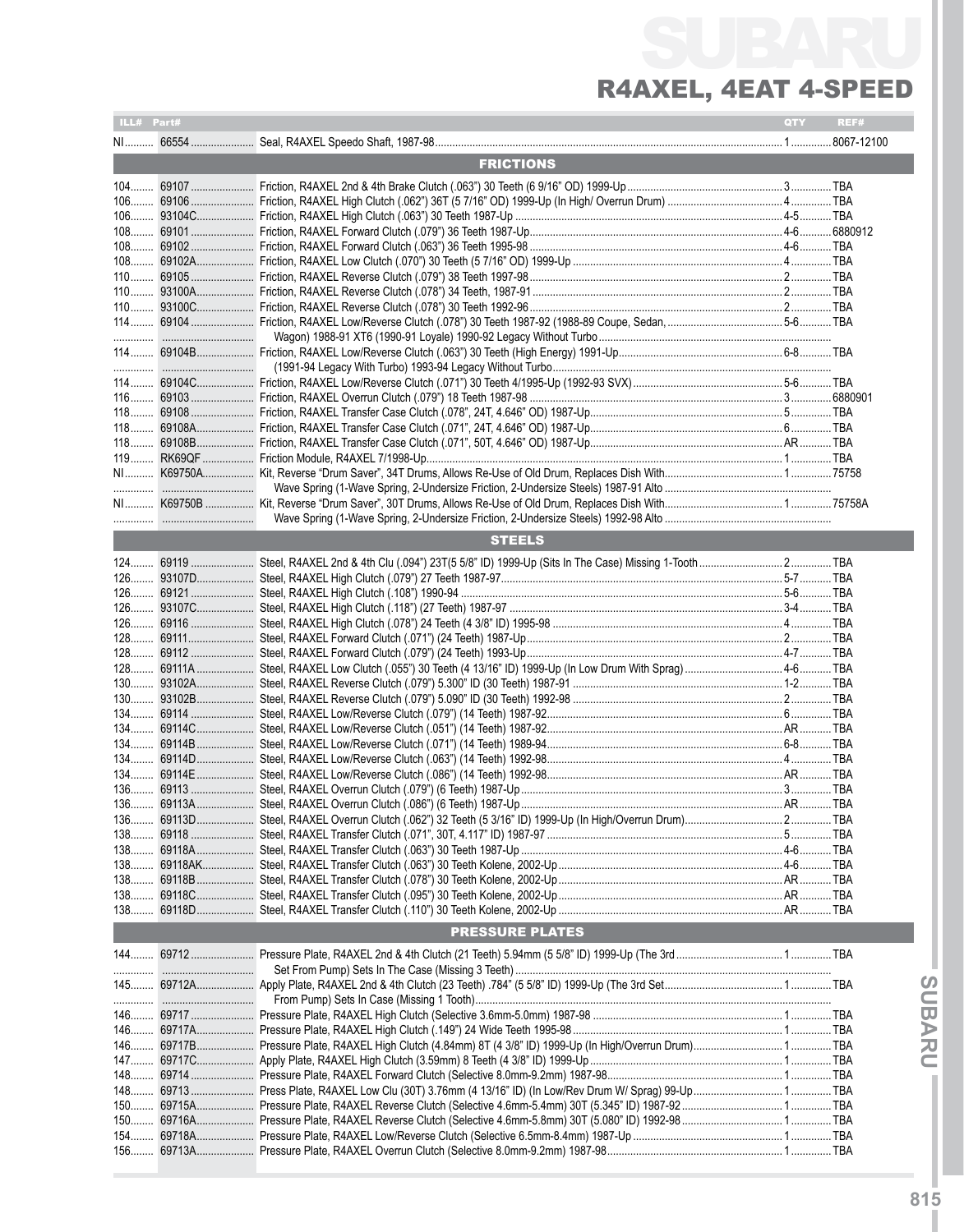# SUBARU R4AXEL, 4EAT 4-S

| ILL# Part#             |            |               | QTY | REF# |  |  |  |  |
|------------------------|------------|---------------|-----|------|--|--|--|--|
|                        |            |               |     |      |  |  |  |  |
| <b>FRICTIONS</b>       |            |               |     |      |  |  |  |  |
|                        |            |               |     |      |  |  |  |  |
|                        |            |               |     |      |  |  |  |  |
|                        |            |               |     |      |  |  |  |  |
|                        |            |               |     |      |  |  |  |  |
|                        |            |               |     |      |  |  |  |  |
|                        |            |               |     |      |  |  |  |  |
|                        |            |               |     |      |  |  |  |  |
|                        |            |               |     |      |  |  |  |  |
|                        |            |               |     |      |  |  |  |  |
|                        |            |               |     |      |  |  |  |  |
|                        |            |               |     |      |  |  |  |  |
|                        |            |               |     |      |  |  |  |  |
|                        |            |               |     |      |  |  |  |  |
|                        |            |               |     |      |  |  |  |  |
|                        |            |               |     |      |  |  |  |  |
|                        |            |               |     |      |  |  |  |  |
|                        |            |               |     |      |  |  |  |  |
|                        |            |               |     |      |  |  |  |  |
|                        |            |               |     |      |  |  |  |  |
|                        |            |               |     |      |  |  |  |  |
|                        |            |               |     |      |  |  |  |  |
|                        |            |               |     |      |  |  |  |  |
|                        |            | <b>STEELS</b> |     |      |  |  |  |  |
|                        |            |               |     |      |  |  |  |  |
|                        |            |               |     |      |  |  |  |  |
|                        |            |               |     |      |  |  |  |  |
|                        |            |               |     |      |  |  |  |  |
|                        |            |               |     |      |  |  |  |  |
|                        |            |               |     |      |  |  |  |  |
|                        |            |               |     |      |  |  |  |  |
|                        |            |               |     |      |  |  |  |  |
|                        |            |               |     |      |  |  |  |  |
|                        |            |               |     |      |  |  |  |  |
|                        |            |               |     |      |  |  |  |  |
|                        |            |               |     |      |  |  |  |  |
|                        |            |               |     |      |  |  |  |  |
|                        |            |               |     |      |  |  |  |  |
|                        |            |               |     |      |  |  |  |  |
|                        |            |               |     |      |  |  |  |  |
|                        |            |               |     |      |  |  |  |  |
|                        |            |               |     |      |  |  |  |  |
|                        |            |               |     |      |  |  |  |  |
|                        |            |               |     |      |  |  |  |  |
|                        |            |               |     |      |  |  |  |  |
|                        |            |               |     |      |  |  |  |  |
|                        |            |               |     |      |  |  |  |  |
| <b>PRESSURE PLATES</b> |            |               |     |      |  |  |  |  |
|                        |            |               |     |      |  |  |  |  |
|                        |            |               |     |      |  |  |  |  |
|                        |            |               |     |      |  |  |  |  |
|                        |            |               |     |      |  |  |  |  |
|                        |            |               |     |      |  |  |  |  |
|                        |            |               |     |      |  |  |  |  |
|                        | 146 69717B |               |     |      |  |  |  |  |
|                        | 147 69717C |               |     |      |  |  |  |  |
|                        |            |               |     |      |  |  |  |  |
|                        |            |               |     |      |  |  |  |  |
|                        |            |               |     |      |  |  |  |  |
|                        |            |               |     |      |  |  |  |  |
|                        |            |               |     |      |  |  |  |  |
|                        |            |               |     |      |  |  |  |  |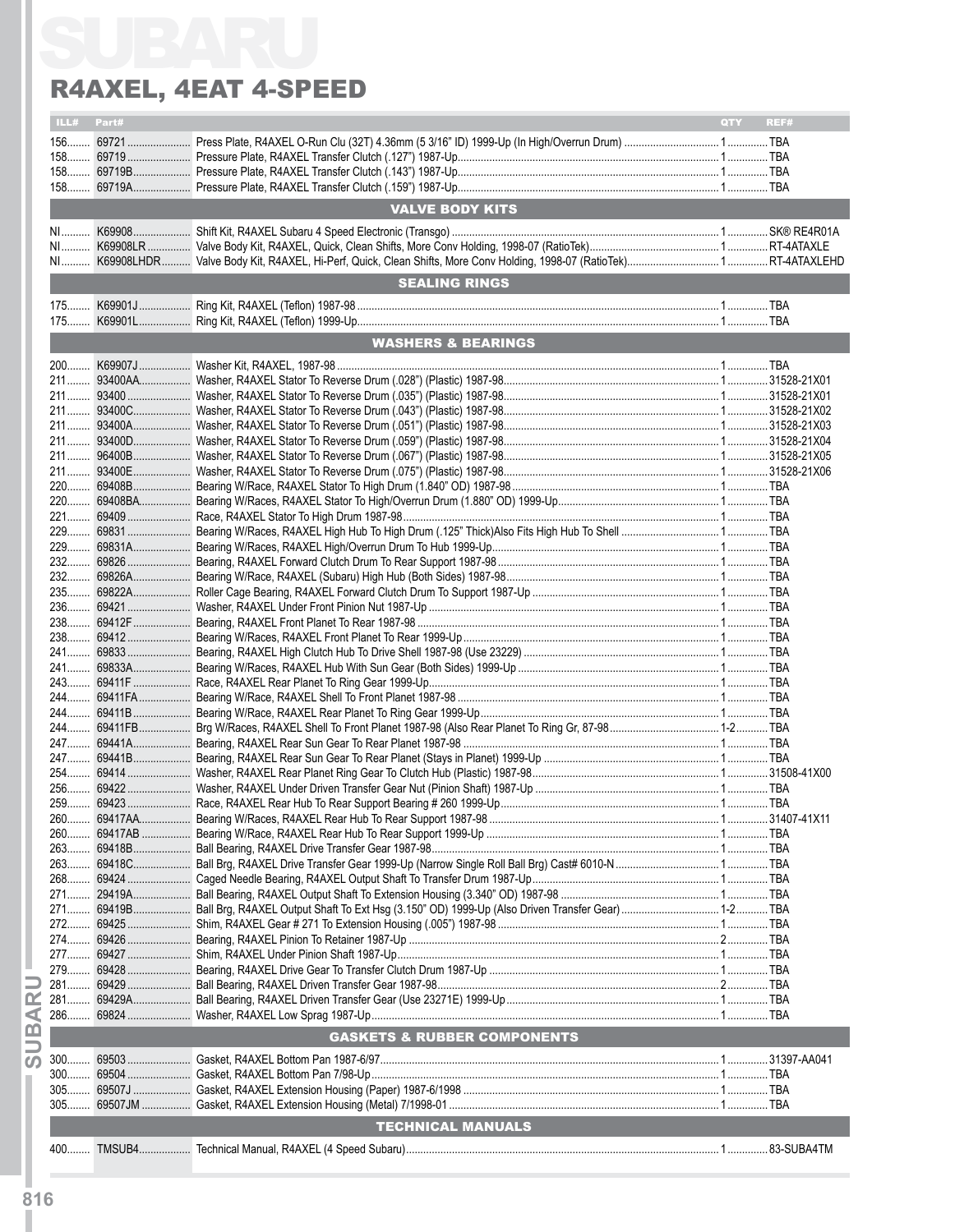## R4AXEL, 4EAT 4-Speed

| ILL# Part#<br><b>VALVE BODY KITS</b><br><b>SEALING RINGS</b><br><b>WASHERS &amp; BEARINGS</b> | <b>OTY</b><br>REF# |                                        |  |
|-----------------------------------------------------------------------------------------------|--------------------|----------------------------------------|--|
|                                                                                               |                    |                                        |  |
|                                                                                               |                    |                                        |  |
|                                                                                               |                    |                                        |  |
|                                                                                               |                    |                                        |  |
|                                                                                               |                    |                                        |  |
|                                                                                               |                    |                                        |  |
|                                                                                               |                    |                                        |  |
|                                                                                               |                    |                                        |  |
|                                                                                               |                    |                                        |  |
|                                                                                               |                    |                                        |  |
|                                                                                               |                    |                                        |  |
|                                                                                               |                    |                                        |  |
|                                                                                               |                    |                                        |  |
|                                                                                               |                    |                                        |  |
|                                                                                               |                    |                                        |  |
|                                                                                               |                    |                                        |  |
|                                                                                               |                    |                                        |  |
|                                                                                               |                    |                                        |  |
|                                                                                               |                    |                                        |  |
|                                                                                               |                    |                                        |  |
|                                                                                               |                    |                                        |  |
|                                                                                               |                    |                                        |  |
|                                                                                               |                    |                                        |  |
|                                                                                               |                    |                                        |  |
|                                                                                               |                    |                                        |  |
|                                                                                               |                    |                                        |  |
|                                                                                               |                    |                                        |  |
|                                                                                               |                    |                                        |  |
|                                                                                               |                    |                                        |  |
|                                                                                               |                    |                                        |  |
|                                                                                               |                    |                                        |  |
|                                                                                               |                    |                                        |  |
|                                                                                               |                    |                                        |  |
|                                                                                               |                    |                                        |  |
|                                                                                               |                    |                                        |  |
|                                                                                               |                    |                                        |  |
|                                                                                               |                    |                                        |  |
|                                                                                               |                    |                                        |  |
|                                                                                               |                    |                                        |  |
|                                                                                               |                    |                                        |  |
|                                                                                               |                    |                                        |  |
|                                                                                               |                    |                                        |  |
|                                                                                               |                    |                                        |  |
|                                                                                               |                    |                                        |  |
|                                                                                               |                    |                                        |  |
|                                                                                               |                    |                                        |  |
|                                                                                               |                    |                                        |  |
|                                                                                               |                    |                                        |  |
|                                                                                               |                    |                                        |  |
|                                                                                               |                    |                                        |  |
|                                                                                               |                    |                                        |  |
|                                                                                               |                    | <b>GASKETS &amp; RUBBER COMPONENTS</b> |  |
|                                                                                               |                    |                                        |  |
|                                                                                               |                    |                                        |  |
|                                                                                               |                    |                                        |  |
|                                                                                               |                    |                                        |  |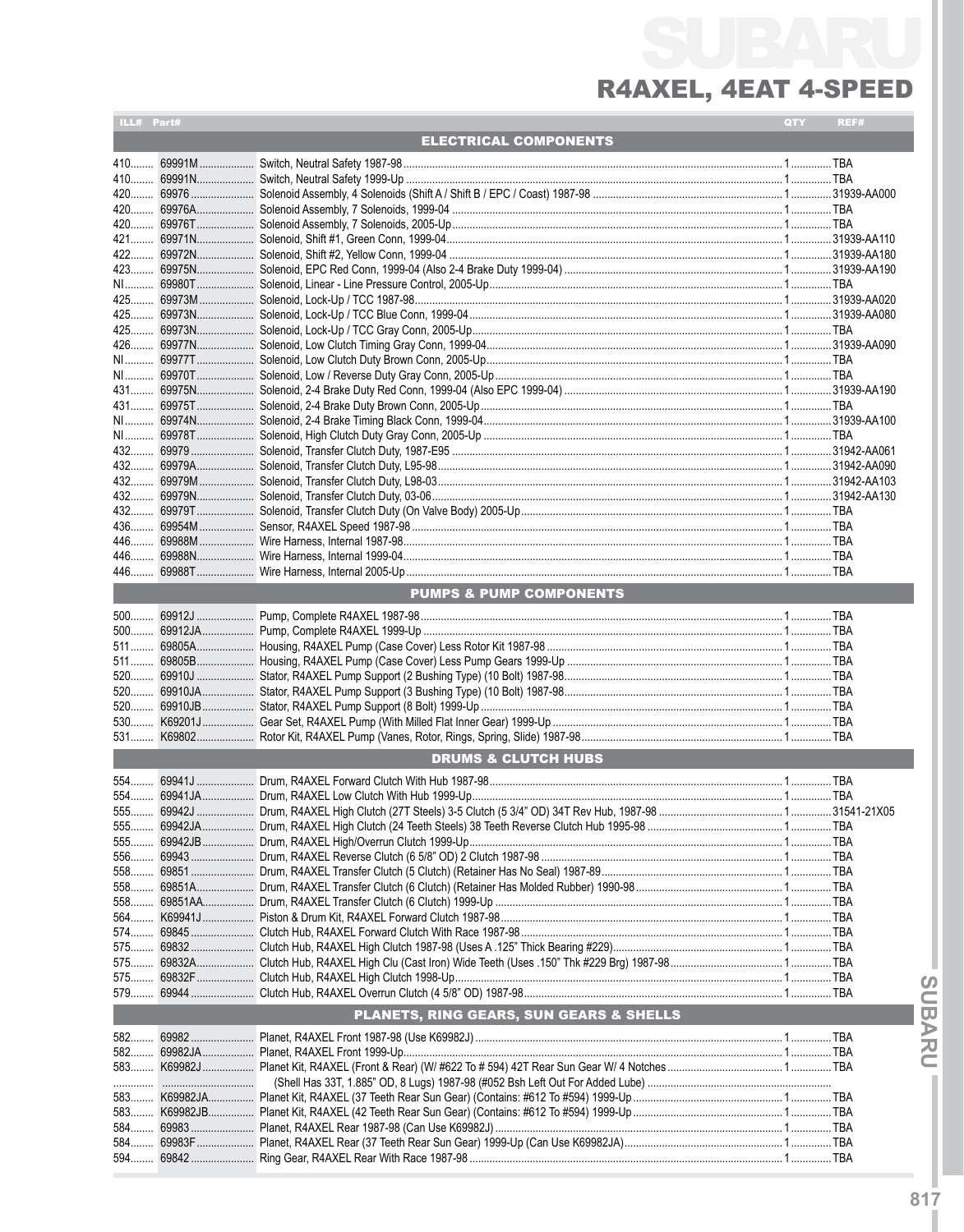| ILL# Part#                              |  |                                    | QTY | REF# |  |  |  |
|-----------------------------------------|--|------------------------------------|-----|------|--|--|--|
| <b>ELECTRICAL COMPONENTS</b>            |  |                                    |     |      |  |  |  |
|                                         |  |                                    |     |      |  |  |  |
|                                         |  |                                    |     |      |  |  |  |
|                                         |  |                                    |     |      |  |  |  |
|                                         |  |                                    |     |      |  |  |  |
|                                         |  |                                    |     |      |  |  |  |
|                                         |  |                                    |     |      |  |  |  |
|                                         |  |                                    |     |      |  |  |  |
|                                         |  |                                    |     |      |  |  |  |
|                                         |  |                                    |     |      |  |  |  |
|                                         |  |                                    |     |      |  |  |  |
|                                         |  |                                    |     |      |  |  |  |
|                                         |  |                                    |     |      |  |  |  |
|                                         |  |                                    |     |      |  |  |  |
|                                         |  |                                    |     |      |  |  |  |
|                                         |  |                                    |     |      |  |  |  |
|                                         |  |                                    |     |      |  |  |  |
|                                         |  |                                    |     |      |  |  |  |
|                                         |  |                                    |     |      |  |  |  |
|                                         |  |                                    |     |      |  |  |  |
|                                         |  |                                    |     |      |  |  |  |
|                                         |  |                                    |     |      |  |  |  |
| 436                                     |  |                                    |     |      |  |  |  |
|                                         |  |                                    |     |      |  |  |  |
|                                         |  |                                    |     |      |  |  |  |
|                                         |  |                                    |     |      |  |  |  |
|                                         |  | <b>PUMPS &amp; PUMP COMPONENTS</b> |     |      |  |  |  |
|                                         |  |                                    |     |      |  |  |  |
|                                         |  |                                    |     |      |  |  |  |
|                                         |  |                                    |     |      |  |  |  |
|                                         |  |                                    |     |      |  |  |  |
|                                         |  |                                    |     |      |  |  |  |
| 520                                     |  |                                    |     |      |  |  |  |
|                                         |  |                                    |     |      |  |  |  |
|                                         |  |                                    |     |      |  |  |  |
|                                         |  | <b>DRUMS &amp; CLUTCH HUBS</b>     |     |      |  |  |  |
|                                         |  |                                    |     |      |  |  |  |
|                                         |  |                                    |     |      |  |  |  |
|                                         |  |                                    |     |      |  |  |  |
|                                         |  |                                    |     |      |  |  |  |
|                                         |  |                                    |     |      |  |  |  |
|                                         |  |                                    |     |      |  |  |  |
|                                         |  |                                    |     |      |  |  |  |
|                                         |  |                                    |     |      |  |  |  |
| 564                                     |  |                                    |     |      |  |  |  |
| $574$                                   |  |                                    |     |      |  |  |  |
|                                         |  |                                    |     |      |  |  |  |
|                                         |  |                                    |     |      |  |  |  |
|                                         |  |                                    |     |      |  |  |  |
|                                         |  |                                    |     |      |  |  |  |
| PLANETS, RING GEARS, SUN GEARS & SHELLS |  |                                    |     |      |  |  |  |
|                                         |  |                                    |     |      |  |  |  |
|                                         |  |                                    |     |      |  |  |  |
|                                         |  |                                    |     |      |  |  |  |
|                                         |  |                                    |     |      |  |  |  |
| 583                                     |  |                                    |     |      |  |  |  |
|                                         |  |                                    |     |      |  |  |  |
|                                         |  |                                    |     |      |  |  |  |
|                                         |  |                                    |     |      |  |  |  |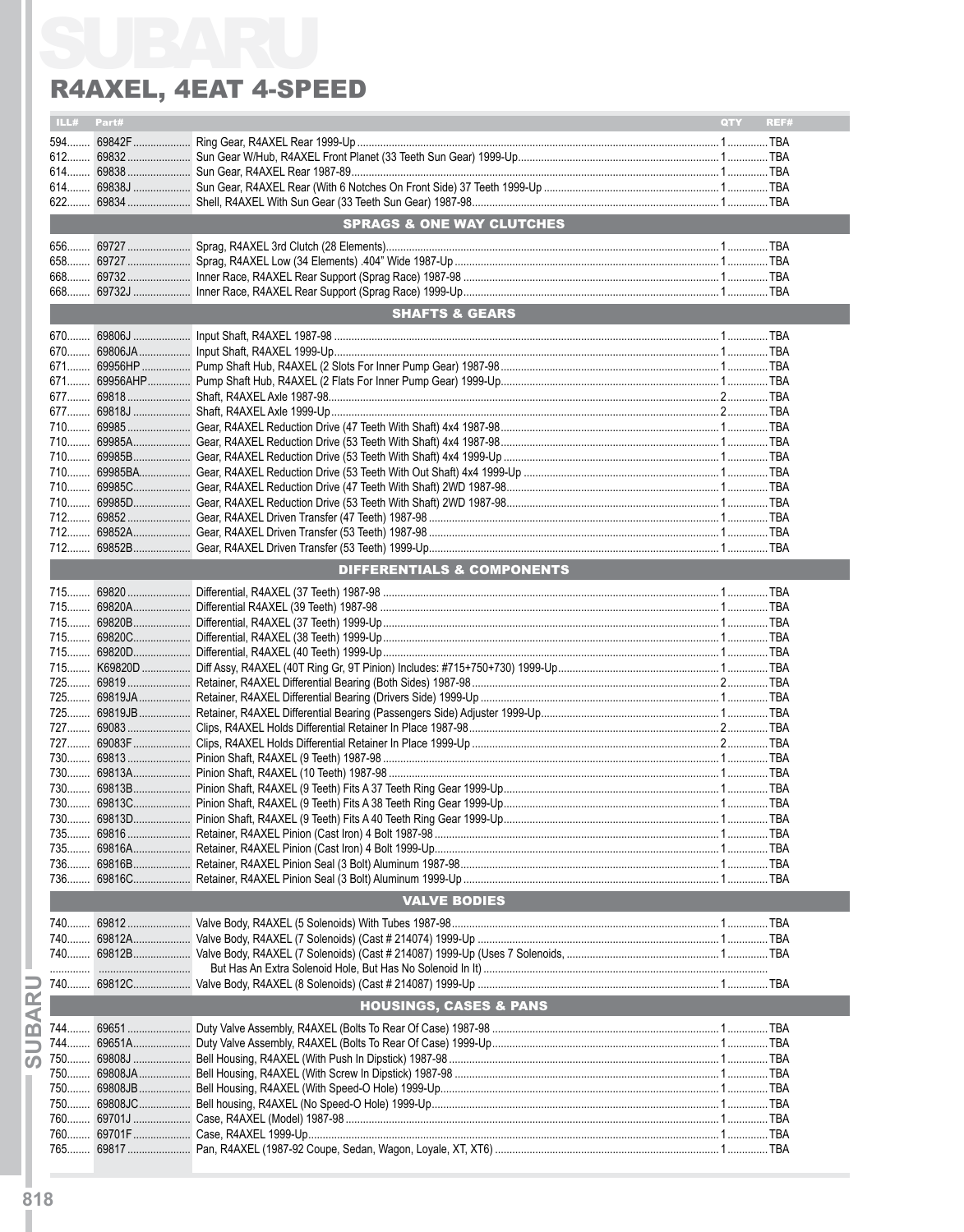|       | ILL# Part# |                                       | QTY<br>REF# |
|-------|------------|---------------------------------------|-------------|
|       |            |                                       |             |
|       |            |                                       |             |
|       |            |                                       |             |
|       |            |                                       |             |
|       |            |                                       |             |
|       |            | <b>SPRAGS &amp; ONE WAY CLUTCHES</b>  |             |
|       |            |                                       |             |
|       |            |                                       |             |
| 658   |            |                                       |             |
|       |            |                                       |             |
|       |            |                                       |             |
|       |            | <b>SHAFTS &amp; GEARS</b>             |             |
|       |            |                                       |             |
|       |            |                                       |             |
|       |            |                                       |             |
|       |            |                                       |             |
|       |            |                                       |             |
|       |            |                                       |             |
|       |            |                                       |             |
|       |            |                                       |             |
|       |            |                                       |             |
|       |            |                                       |             |
|       |            |                                       |             |
|       |            |                                       |             |
|       |            |                                       |             |
|       |            |                                       |             |
|       |            |                                       |             |
|       |            | <b>DIFFERENTIALS &amp; COMPONENTS</b> |             |
|       |            |                                       |             |
|       |            |                                       |             |
|       |            |                                       |             |
|       |            |                                       |             |
|       |            |                                       |             |
|       |            |                                       |             |
|       |            |                                       |             |
|       |            |                                       |             |
|       |            |                                       |             |
|       |            |                                       |             |
|       |            |                                       |             |
|       |            |                                       |             |
|       |            |                                       |             |
|       |            |                                       |             |
|       |            |                                       |             |
|       |            |                                       |             |
| 730.  |            |                                       |             |
| 735   |            |                                       |             |
| $735$ |            |                                       |             |
| 736   |            |                                       |             |
|       |            |                                       |             |
|       |            | <b>VALVE BODIES</b>                   |             |
|       |            |                                       |             |
|       |            |                                       |             |
|       |            |                                       |             |
|       |            |                                       |             |
|       |            |                                       |             |
|       |            | <b>HOUSINGS, CASES &amp; PANS</b>     |             |
| 744   |            |                                       |             |
|       |            |                                       |             |
| 744   |            |                                       |             |
|       |            |                                       |             |
| 750   |            |                                       |             |
|       |            |                                       |             |
|       |            |                                       |             |
|       |            |                                       |             |
|       |            |                                       |             |
|       |            |                                       |             |